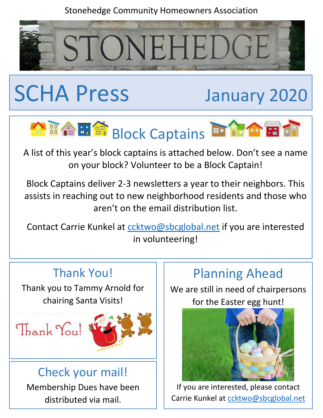#### Stonehedge Community Homeowners Association



# SCHA Press January 2020



A list of this year's block captains is attached below. Don't see a name on your block? Volunteer to be a Block Captain!

Block Captains deliver 2-3 newsletters a year to their neighbors. This assists in reaching out to new neighborhood residents and those who aren't on the email distribution list.

Contact Carrie Kunkel at contribution Contact if you are interested in volunteering!

## Thank You!

Thank you to Tammy Arnold for chairing Santa Visits!



### Check your mail!

Membership Dues have been distributed via mail.

# Planning Ahead

We are still in need of chairpersons for the Easter egg hunt!



If you are interested, please contact Carrie Kunkel at [ccktwo@sbcglobal.net](mailto:ccktwo@sbcglobal.net)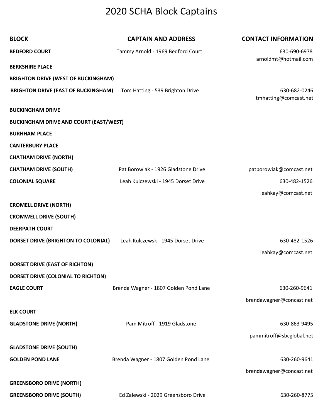## 2020 SCHA Block Captains

| <b>BLOCK</b>                                  | <b>CAPTAIN AND ADDRESS</b>            | <b>CONTACT INFORMATION</b> |
|-----------------------------------------------|---------------------------------------|----------------------------|
| <b>BEDFORD COURT</b>                          | Tammy Arnold - 1969 Bedford Court     | 630-690-6978               |
| <b>BERKSHIRE PLACE</b>                        |                                       | arnoldmt@hotmail.com       |
| <b>BRIGHTON DRIVE (WEST OF BUCKINGHAM)</b>    |                                       |                            |
| <b>BRIGHTON DRIVE (EAST OF BUCKINGHAM)</b>    | Tom Hatting - 539 Brighton Drive      | 630-682-0246               |
|                                               |                                       | tmhatting@comcast.net      |
| <b>BUCKINGHAM DRIVE</b>                       |                                       |                            |
| <b>BUCKINGHAM DRIVE AND COURT (EAST/WEST)</b> |                                       |                            |
| <b>BURHHAM PLACE</b>                          |                                       |                            |
| <b>CANTERBURY PLACE</b>                       |                                       |                            |
| <b>CHATHAM DRIVE (NORTH)</b>                  |                                       |                            |
| <b>CHATHAM DRIVE (SOUTH)</b>                  | Pat Borowiak - 1926 Gladstone Drive   | patborowiak@comcast.net    |
| <b>COLONIAL SQUARE</b>                        | Leah Kulczewski - 1945 Dorset Drive   | 630-482-1526               |
|                                               |                                       | leahkay@comcast.net        |
| <b>CROMELL DRIVE (NORTH)</b>                  |                                       |                            |
| <b>CROMWELL DRIVE (SOUTH)</b>                 |                                       |                            |
| <b>DEERPATH COURT</b>                         |                                       |                            |
| DORSET DRIVE (BRIGHTON TO COLONIAL)           | Leah Kulczewsk - 1945 Dorset Drive    | 630-482-1526               |
|                                               |                                       | leahkay@comcast.net        |
| DORSET DRIVE (EAST OF RICHTON)                |                                       |                            |
| DORSET DRIVE (COLONIAL TO RICHTON)            |                                       |                            |
| <b>EAGLE COURT</b>                            | Brenda Wagner - 1807 Golden Pond Lane | 630-260-9641               |
|                                               |                                       | brendawagner@concast.net   |
| <b>ELK COURT</b>                              |                                       |                            |
| <b>GLADSTONE DRIVE (NORTH)</b>                | Pam Mitroff - 1919 Gladstone          | 630-863-9495               |
|                                               |                                       | pammitroff@sbcglobal.net   |
| <b>GLADSTONE DRIVE (SOUTH)</b>                |                                       |                            |
| <b>GOLDEN POND LANE</b>                       | Brenda Wagner - 1807 Golden Pond Lane | 630-260-9641               |
|                                               |                                       | brendawagner@concast.net   |
| <b>GREENSBORO DRIVE (NORTH)</b>               |                                       |                            |
|                                               |                                       |                            |
| <b>GREENSBORO DRIVE (SOUTH)</b>               | Ed Zalewski - 2029 Greensboro Drive   | 630-260-8775               |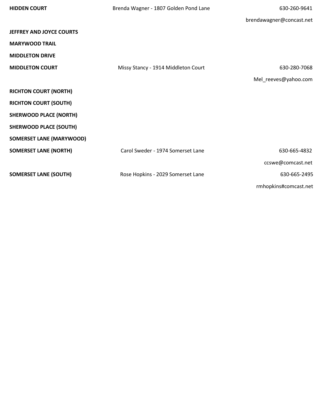| <b>HIDDEN COURT</b>             | Brenda Wagner - 1807 Golden Pond Lane | 630-260-9641             |
|---------------------------------|---------------------------------------|--------------------------|
|                                 |                                       | brendawagner@concast.net |
| <b>JEFFREY AND JOYCE COURTS</b> |                                       |                          |
| <b>MARYWOOD TRAIL</b>           |                                       |                          |
| <b>MIDDLETON DRIVE</b>          |                                       |                          |
| <b>MIDDLETON COURT</b>          | Missy Stancy - 1914 Middleton Court   | 630-280-7068             |
|                                 |                                       | Mel_reeves@yahoo.com     |
| <b>RICHTON COURT (NORTH)</b>    |                                       |                          |
| <b>RICHTON COURT (SOUTH)</b>    |                                       |                          |
| <b>SHERWOOD PLACE (NORTH)</b>   |                                       |                          |
| <b>SHERWOOD PLACE (SOUTH)</b>   |                                       |                          |
| <b>SOMERSET LANE (MARYWOOD)</b> |                                       |                          |
| <b>SOMERSET LANE (NORTH)</b>    | Carol Sweder - 1974 Somerset Lane     | 630-665-4832             |
|                                 |                                       | ccswe@comcast.net        |
| <b>SOMERSET LANE (SOUTH)</b>    | Rose Hopkins - 2029 Somerset Lane     | 630-665-2495             |
|                                 |                                       | rmhopkins#comcast.net    |